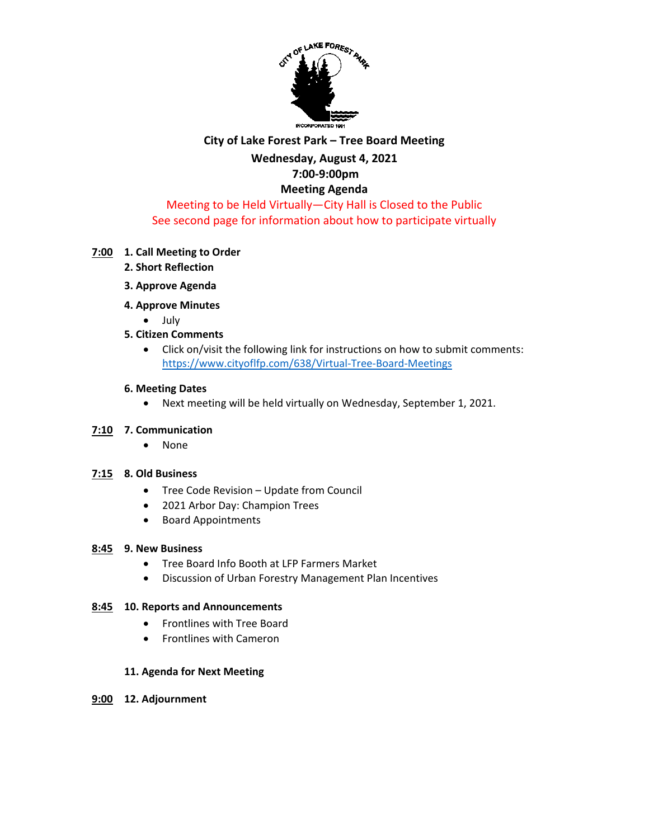

# **City of Lake Forest Park – Tree Board Meeting**

### **Wednesday, August 4, 2021 7:00-9:00pm**

## **Meeting Agenda**

### Meeting to be Held Virtually—City Hall is Closed to the Public See second page for information about how to participate virtually

### **7:00 1. Call Meeting to Order**

- **2. Short Reflection**
- **3. Approve Agenda**
- **4. Approve Minutes** 
	- July
- **5. Citizen Comments**
	- Click on/visit the following link for instructions on how to submit comments: <https://www.cityoflfp.com/638/Virtual-Tree-Board-Meetings>

#### **6. Meeting Dates**

• Next meeting will be held virtually on Wednesday, September 1, 2021.

#### **7:10 7. Communication**

• None

#### **7:15 8. Old Business**

- Tree Code Revision Update from Council
- 2021 Arbor Day: Champion Trees
- Board Appointments

#### **8:45 9. New Business**

- Tree Board Info Booth at LFP Farmers Market
- Discussion of Urban Forestry Management Plan Incentives

#### **8:45 10. Reports and Announcements**

- Frontlines with Tree Board
- Frontlines with Cameron

#### **11. Agenda for Next Meeting**

**9:00 12. Adjournment**